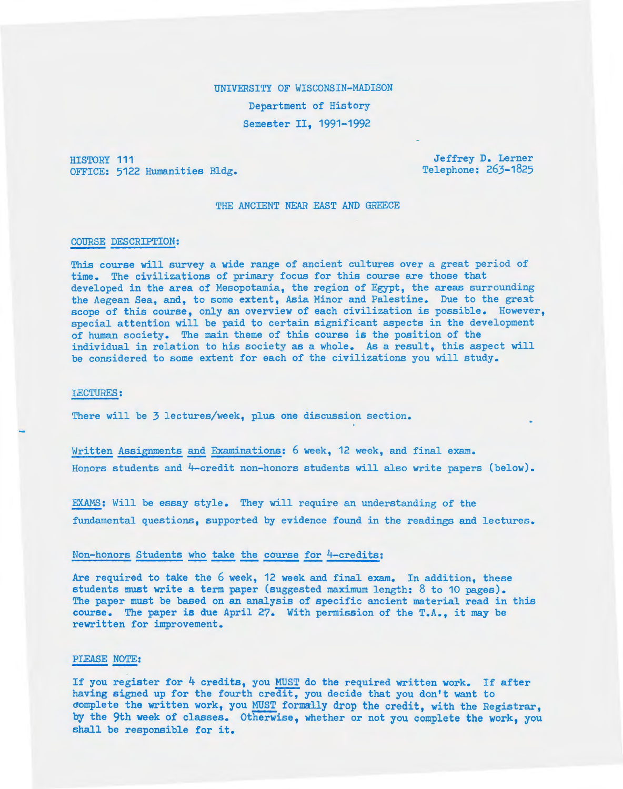# UNIVERSITY OF WISCONSIN-MADISON Department of History Semester II, 1991-1992

HISTORY 111 OFFICE: 5122 Humanities Bldg.

Jeffrey D. Lerner Telephone: 263-1825

#### THE ANCIENT NEAR EAST AND GREECE

## COURSE DESCRIPTION:

This course will survey a wide range of ancient cultures over a great period of time. The civilizations of primary focus for this course are those that developed in the area of Mesopotamia, the region of Egypt, the areas surrounding the Aegean Sea, and, to some extent, Asia Minor and Palestine. Due to the great scope of this course, only an overview of each civilization is possible. However, special attention will be paid to certain significant aspects in the development of human society. The main theme of this course is the position of the individual in relation to his society as a whole. As a result, this aspect will be considered to some extent for each of the civilizations you will study.

#### LECTURES:

There will be 3 lectures/week, plus one discussion section.

Written Assignments and Examinations: 6 week, 12 week, and final exam. Honors students and 4-credit non-honors students will also write papers (below).

EXAMS: Will be essay style. They will require an understanding of the fundamental questions, supported by evidence found in the readings and lectures.

## Non-honors Students who take the course for 4-credits:

Are required to take the 6 week, 12 week and final exam. In addition, these students must write a term paper (suggested maximum length: 8 to 10 pages). The paper must be based on an analysis of specific ancient material read in this course. The paper is due April 27. With permission of the T.A., it may be rewritten for improvement.

### PLEASE NOTE:

If you register for 4 credits, you MUST do the required written work. If after having signed up for the fourth credit, you decide that you don't want to complete the written work, you MUST formally drop the credit, with the Registrar, by the 9th week of classes. Otherwise, whether or not you complete the work, you shall be responsible for it.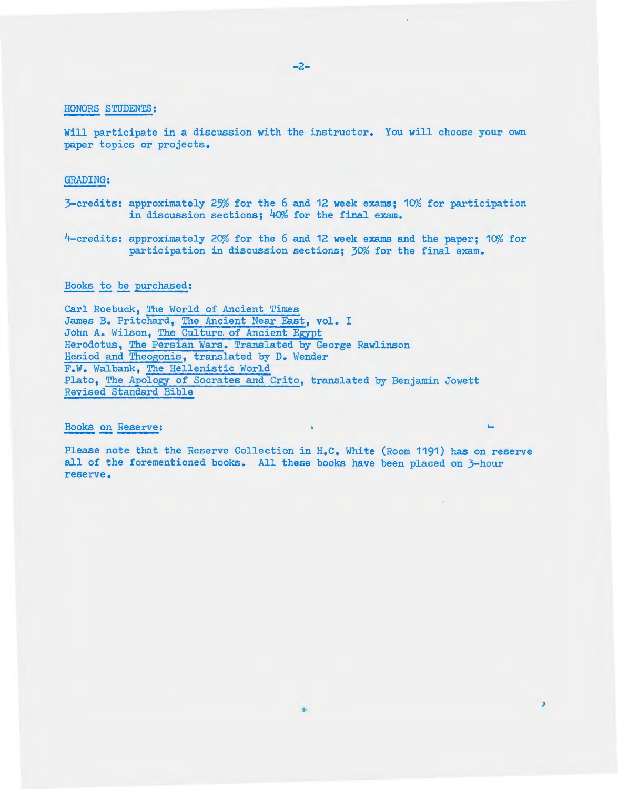## HONORS STUDENTS:

Will participate in a discussion with the instructor. You will choose your own paper topics or projects.

## GRADING:

- $3$ -credits: approximately 25% for the 6 and 12 week exams; 10% for participation in discussion sections;  $40\%$  for the final exam.
- $4$ -credits: approximately 20% for the 6 and 12 week exams and the paper; 10% for participation in discussion sections; 30% for the final exam.

## Books to be purchased:

Carl Roebuck, The World of Ancient Times James B. Pritchard, The Ancient Near East, vol. I John A. Wilson, The Culture. of Ancient Egypt Herodotus, The Persian Wars. Translated by George Rawlinson Hesiod and Theogonis, translated by D. Wender F.W. Walbank, The Hellenistic World Plato, The Apology of Socrates and Crito, translated by Benjamin Jowett Revised Standard Bible

# Books on Reserve:

Please note that the Reserve Collection in H.C. White *(Room* 1191) has on reserve all of the forementioned books. All these books have been placed on 3-hour reserve.

 $\overline{3}$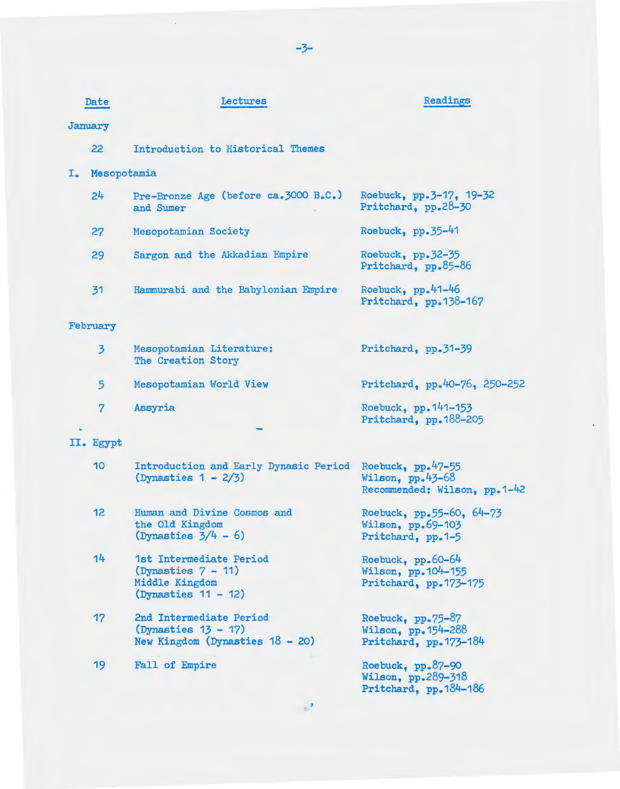|    | Date            | <b>Lectures</b>                                                                            | Readings                                                                  |  |  |  |
|----|-----------------|--------------------------------------------------------------------------------------------|---------------------------------------------------------------------------|--|--|--|
|    | January         |                                                                                            |                                                                           |  |  |  |
|    | 22              | Introduction to Historical Themes                                                          |                                                                           |  |  |  |
| I. | Mesopotamia     |                                                                                            |                                                                           |  |  |  |
|    | 24              | Pre-Bronze Age (before ca. 3000 B.C.)<br>and Sumer                                         | Roebuck, pp. 3-17, 19-32<br>Pritchard, pp.28-30                           |  |  |  |
|    | 27              | Mesopotamian Society                                                                       | Roebuck, $pp.35-41$                                                       |  |  |  |
|    | 29              | Sargon and the Akkadian Empire                                                             | Roebuck, pp.32-35<br>Pritchard, pp.85-86                                  |  |  |  |
|    | 31              | Hammurabi and the Babylonian Empire                                                        | Roebuck, $pp.41-46$<br>Pritchard, pp.138-167                              |  |  |  |
|    | February        |                                                                                            |                                                                           |  |  |  |
|    | $\overline{3}$  | Mesopotamian Literature:<br>The Creation Story                                             | Pritchard, pp.31-39                                                       |  |  |  |
|    | 5               | Mesopotamian World View                                                                    | Pritchard, pp.40-76, 250-252                                              |  |  |  |
|    | $\overline{7}$  | Assyria                                                                                    | Roebuck, pp. 141-153<br>Pritchard, pp.188-205                             |  |  |  |
|    | II. Egypt       |                                                                                            |                                                                           |  |  |  |
|    | 10 <sup>°</sup> | Introduction and Early Dynasic Period<br>$(Dynasties 1 - 2/3)$                             | Roebuck, $pp.47-55$<br>Wilson, $pp.43-68$<br>Recommended: Wilson, pp.1-42 |  |  |  |
|    | 12              | Human and Divine Cosmos and<br>the Old Kingdom<br>$(Dynasties 3/4 - 6)$                    | Roebuck, pp.55-60, 64-73<br>Wilson, $pp.69-103$<br>Pritchard, pp.1-5      |  |  |  |
|    | 14              | 1st Intermediate Period<br>$(Dynasties 7 - 11)$<br>Middle Kingdom<br>$(Dynasties 11 - 12)$ | Roebuck, $pp.60-64$<br>Wilson, pp. 104-155<br>Pritchard, pp.173-175       |  |  |  |
|    | 17              | 2nd Intermediate Period<br>$(Dynasties 13 - 17)$<br>New Kingdom (Dynasties $18 - 20$ )     | Roebuck, $pp-75-87$<br>Wilson, pp. 154-288<br>Pritchard, pp. 173-184      |  |  |  |
|    | 19              | Fall of Empire                                                                             | Roebuck, pp.87-90<br>Wilson, pp.289-318<br>Pritchard, pp. 184-186         |  |  |  |

-3-

 $\mathcal{A}$ 

 $\mathbb{R}^3$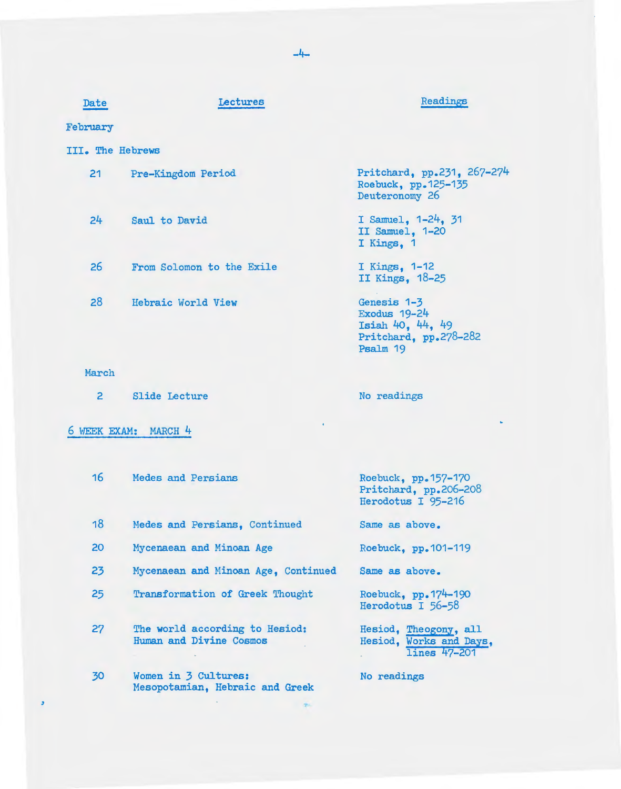| Date                              | Lectures                  | Readings                                                                                    |  |  |  |  |
|-----------------------------------|---------------------------|---------------------------------------------------------------------------------------------|--|--|--|--|
| February                          |                           |                                                                                             |  |  |  |  |
| III. The Hebrews                  |                           |                                                                                             |  |  |  |  |
| $21 \overline{ }$                 | Pre-Kingdom Period        | Pritchard, pp.231, 267-274<br>Roebuck, pp. 125-135<br>Deuteronomy 26                        |  |  |  |  |
| 24                                | Saul to David             | I Samuel, 1-24, 31<br>II Samuel, 1-20<br>I Kings. 1                                         |  |  |  |  |
| 26                                | From Solomon to the Exile | I Kings, 1-12<br>II Kings, 18-25                                                            |  |  |  |  |
| 28                                | Hebraic World View        | Genesis 1-3<br><b>Exodus 19-24</b><br>Isiah 40, 44, 49<br>Pritchard, pp.278-282<br>Psalm 19 |  |  |  |  |
| March                             |                           |                                                                                             |  |  |  |  |
| $\overline{2}$                    | <b>Slide Lecture</b>      | No readings                                                                                 |  |  |  |  |
| $\bullet$<br>6 WEEK EXAM: MARCH 4 |                           |                                                                                             |  |  |  |  |

| 16 | Medes and Persians                                        | Roebuck, pp. 157-170<br>Pritchard, pp.206-208<br>Herodotus I 95-216 |
|----|-----------------------------------------------------------|---------------------------------------------------------------------|
| 18 | Medes and Persians, Continued                             | Same as above.                                                      |
| 20 | Mycenaean and Minoan Age                                  | Roebuck, pp. 101-119                                                |
| 23 | Mycenaean and Minoan Age, Continued                       | Same as above.                                                      |
| 25 | Transformation of Greek Thought                           | Roebuck, pp. 174-190<br>Herodotus I 56-58                           |
| 27 | The world according to Hesiod:<br>Human and Divine Cosmos | Hesiod, Theogony, all<br>Hesiod, Works and Days,<br>lines 47-201    |
| 30 | Women in 3 Cultures:<br>Mesopotamian, Hebraic and Greek   | No readings                                                         |

·~

 $\mathcal{L}$ 

 $\bullet$ 

-4-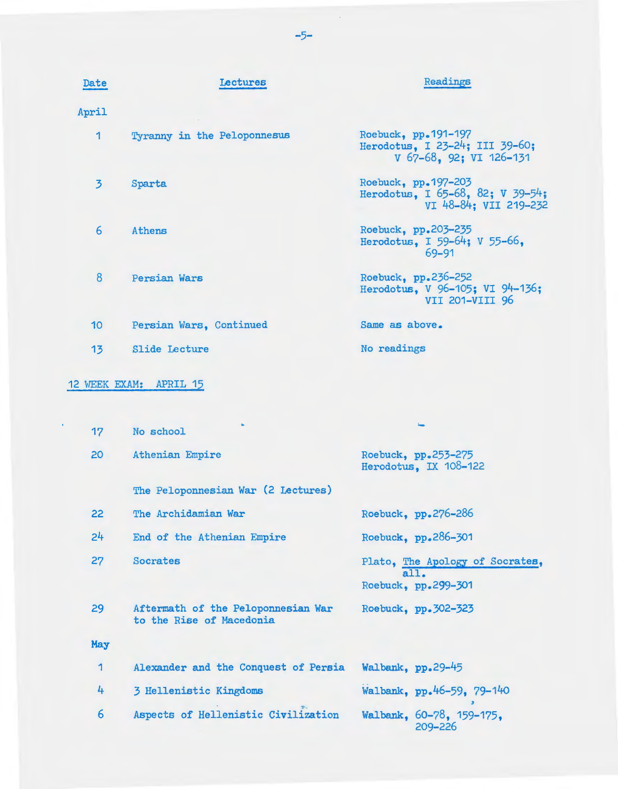| Date            | Lectures                    | Readings                                                                         |
|-----------------|-----------------------------|----------------------------------------------------------------------------------|
| April           |                             |                                                                                  |
| 1               | Tyranny in the Peloponnesus | Roebuck, pp.191-197<br>Herodotus, I 23-24; III 39-60;<br>V 67-68, 92; VI 126-131 |
| $\overline{3}$  | Sparta                      | Roebuck, pp.197-203<br>Herodotus, I 65-68, 82; V 39-54;<br>VI 48-84: VII 219-232 |
| 6               | Athens                      | Roebuck, pp.203-235<br>Herodotus, I 59-64; V 55-66,<br>69-91                     |
| 8               | Persian Wars                | Roebuck, pp.236-252<br>Herodotus, V 96-105; VI 94-136;<br>VII 201-VIII 96        |
| 10 <sup>°</sup> | Persian Wars, Continued     | Same as above.                                                                   |
| 13              | <b>Slide Lecture</b>        | No readings                                                                      |
|                 | 12 WEEK EXAM: APRIL 15      |                                                                                  |
| 17              | No school                   |                                                                                  |
| 20              | Athenian Empire             | Roebuck, pp.253-275<br>Herodotus, IX 108-122                                     |
|                 |                             |                                                                                  |

| -17 | No school                                                      |                                                                |
|-----|----------------------------------------------------------------|----------------------------------------------------------------|
| 20  | Athenian Empire                                                | Roebuck, pp.253-275<br>Herodotus. IX 108-122                   |
|     | The Peloponnesian War (2 Lectures)                             |                                                                |
| 22  | The Archidamian War                                            | Roebuck, pp.276-286                                            |
| 24  | End of the Athenian Empire                                     | Roebuck, pp.286-301                                            |
| 27  | Socrates                                                       | Plato, The Apology of Socrates,<br>all.<br>Roebuck, pp.299-301 |
| 29  | Aftermath of the Peloponnesian War<br>to the Rise of Macedonia | Roebuck, pp. 302-323                                           |
| May |                                                                |                                                                |
| 1   | Alexander and the Conquest of Persia                           | Walbank, pp.29-45                                              |
| 4   | 3 Hellenistic Kingdoms                                         | Walbank, pp.46-59, 79-140                                      |
| 6   | Aspects of Hellenistic Civilization                            | Walbank, 60-78, 159-175.<br>209-226                            |

-5-

 $\sim$   $\sim$